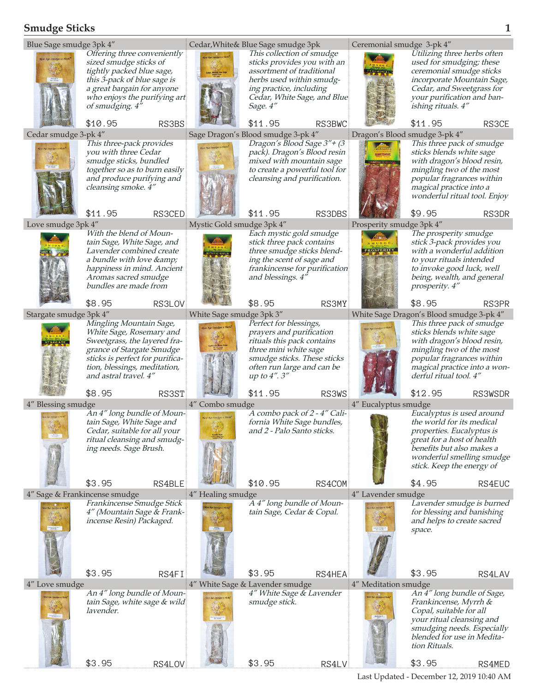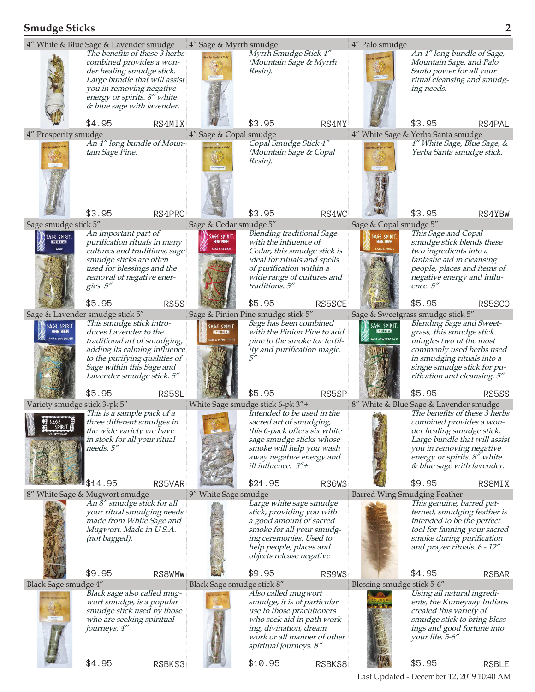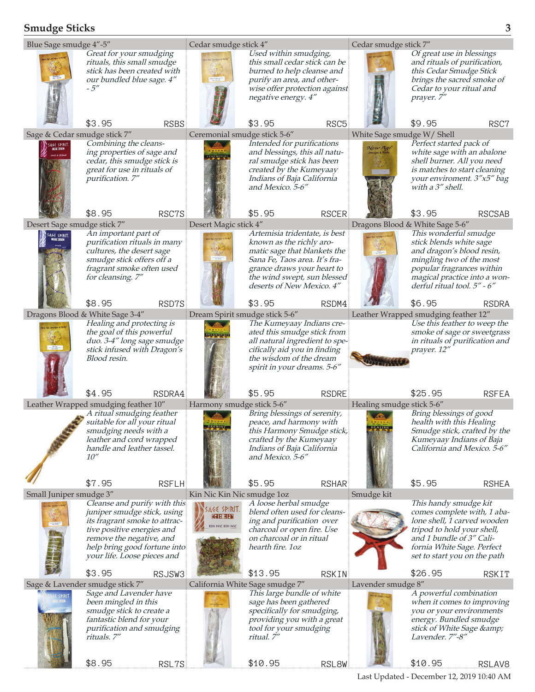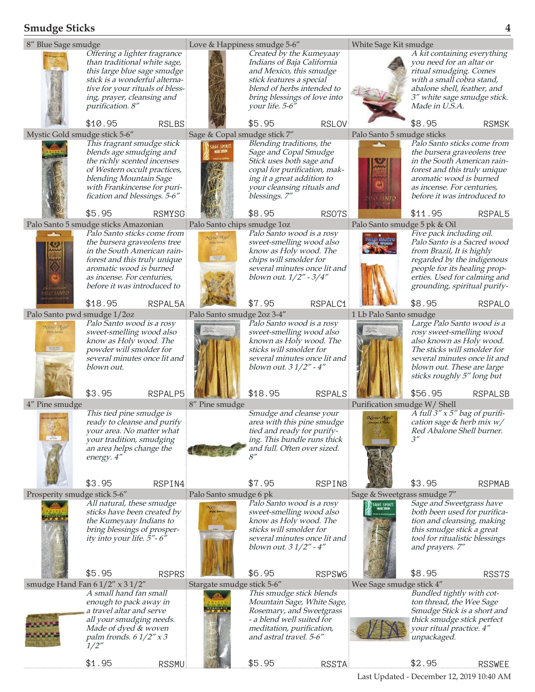

Last Updated - December 12, 2019 10:40 AM